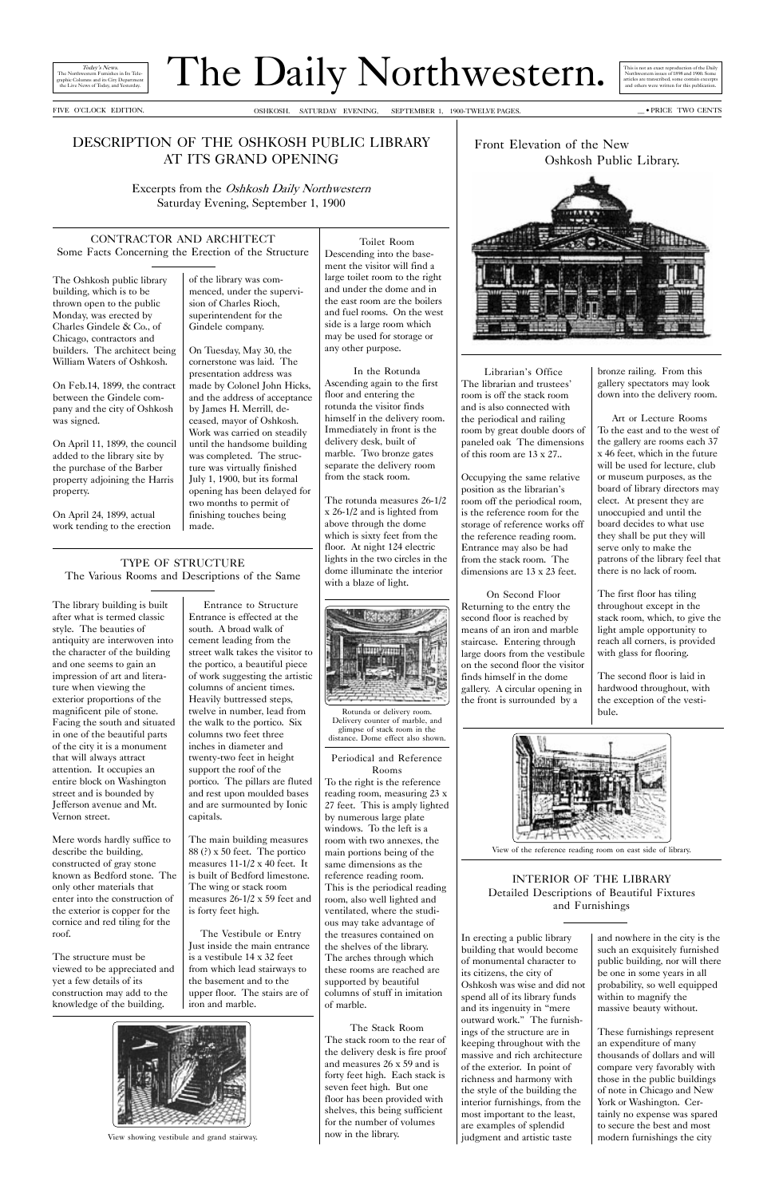# The Daily Northwestern.

Today's News.<br>western Furnishes in Its Tele-The Northwestern Furnishes in Its Tele-graphic Columns and its City Department the Live News of Today, and Yesterday.

FIVE OCLOCK EDITION. \_\_ · PRICE TWO CENTS OSHKOSH. SATURDAY EVENING, SEPTEMBER 1, 1900-TWELVE PAGES.

### DESCRIPTION OF THE OSHKOSH PUBLIC LIBRARY AT ITS GRAND OPENING

Excerpts from the Oshkosh Daily Northwestern Saturday Evening, September 1, 1900

CONTRACTOR AND ARCHITECT Some Facts Concerning the Erection of the Structure

The Oshkosh public library building, which is to be thrown open to the public Monday, was erected by Charles Gindele & Co., of Chicago, contractors and builders. The architect being William Waters of Oshkosh.

On Feb.14, 1899, the contract between the Gindele company and the city of Oshkosh was signed.

On April 11, 1899, the council added to the library site by the purchase of the Barber property adjoining the Harris property.

On April 24, 1899, actual work tending to the erection of the library was commenced, under the supervision of Charles Rioch, superintendent for the Gindele company.

On Tuesday, May 30, the cornerstone was laid. The presentation address was made by Colonel John Hicks, and the address of acceptance by James H. Merrill, deceased, mayor of Oshkosh. Work was carried on steadily until the handsome building was completed. The structure was virtually finished July 1, 1900, but its formal opening has been delayed for two months to permit of finishing touches being made.

#### TYPE OF STRUCTURE The Various Rooms and Descriptions of the Same





Toilet Room Descending into the basement the visitor will find a large toilet room to the right and under the dome and in the east room are the boilers and fuel rooms. On the west side is a large room which may be used for storage or any other purpose.

In the Rotunda Ascending again to the first floor and entering the rotunda the visitor finds himself in the delivery room. Immediately in front is the delivery desk, built of marble. Two bronze gates separate the delivery room from the stack room.

The rotunda measures 26-1/2 x 26-1/2 and is lighted from above through the dome which is sixty feet from the floor. At night 124 electric lights in the two circles in the dome illuminate the interior with a blaze of light.



Periodical and Reference Rooms

Librarian's Office The librarian and trustees room is off the stack room and is also connected with the periodical and railing room by great double doors of paneled oak The dimensions of this room are 13 x 27..

To the right is the reference reading room, measuring 23 x 27 feet. This is amply lighted by numerous large plate windows. To the left is a room with two annexes, the main portions being of the same dimensions as the reference reading room. This is the periodical reading room, also well lighted and ventilated, where the studious may take advantage of the treasures contained on the shelves of the library. The arches through which these rooms are reached are supported by beautiful columns of stuff in imitation of marble.

The Stack Room The stack room to the rear of the delivery desk is fire proof and measures 26 x 59 and is forty feet high. Each stack is seven feet high. But one floor has been provided with shelves, this being sufficient for the number of volumes now in the library.

Entrance to Structure Entrance is effected at the south. A broad walk of cement leading from the street walk takes the visitor to the portico, a beautiful piece of work suggesting the artistic columns of ancient times. Heavily buttressed steps, twelve in number, lead from the walk to the portico. Six columns two feet three inches in diameter and twenty-two feet in height support the roof of the portico. The pillars are fluted and rest upon moulded bases and are surmounted by Ionic capitals.

The main building measures 88 (?) x 50 feet. The portico measures 11-1/2 x 40 feet. It is built of Bedford limestone.

The wing or stack room measures 26-1/2 x 59 feet and is forty feet high.

The Vestibule or Entry Just inside the main entrance is a vestibule 14 x 32 feet from which lead stairways to the basement and to the upper floor. The stairs are of iron and marble.



The library building is built after what is termed classic style. The beauties of antiquity are interwoven into the character of the building and one seems to gain an impression of art and literature when viewing the exterior proportions of the magnificent pile of stone. Facing the south and situated in one of the beautiful parts of the city it is a monument that will always attract attention. It occupies an entire block on Washington street and is bounded by Jefferson avenue and Mt. Vernon street.

Mere words hardly suffice to describe the building, constructed of gray stone known as Bedford stone. The

only other materials that enter into the construction of the exterior is copper for the cornice and red tiling for the roof.

The structure must be viewed to be appreciated and yet a few details of its construction may add to the knowledge of the building.

Occupying the same relative position as the librarian's room off the periodical room, is the reference room for the storage of reference works off the reference reading room. Entrance may also be had from the stack room. The dimensions are 13 x 23 feet.

On Second Floor Returning to the entry the second floor is reached by means of an iron and marble staircase. Entering through large doors from the vestibule on the second floor the visitor finds himself in the dome gallery. A circular opening in the front is surrounded by a

View showing vestibule and grand stairway.

Rotunda or delivery room. Delivery counter of marble, and glimpse of stack room in the distance. Dome effect also shown. bronze railing. From this gallery spectators may look down into the delivery room.

Art or Lecture Rooms To the east and to the west of the gallery are rooms each 37 x 46 feet, which in the future will be used for lecture, club or museum purposes, as the board of library directors may elect. At present they are unoccupied and until the board decides to what use they shall be put they will serve only to make the patrons of the library feel that there is no lack of room.

The first floor has tiling throughout except in the stack room, which, to give the light ample opportunity to reach all corners, is provided with glass for flooring.

The second floor is laid in hardwood throughout, with the exception of the vestibule.



View of the reference reading room on east side of library.

In erecting a public library building that would become of monumental character to its citizens, the city of Oshkosh was wise and did not spend all of its library funds and its ingenuity in "mere outward work." The furnishings of the structure are in keeping throughout with the massive and rich architecture of the exterior. In point of richness and harmony with the style of the building the interior furnishings, from the most important to the least, are examples of splendid judgment and artistic taste

#### INTERIOR OF THE LIBRARY

Detailed Descriptions of Beautiful Fixtures and Furnishings

> and nowhere in the city is the such an exquisitely furnished public building, nor will there be one in some years in all probability, so well equipped within to magnify the massive beauty without.

These furnishings represent an expenditure of many thousands of dollars and will compare very favorably with those in the public buildings of note in Chicago and New York or Washington. Certainly no expense was spared to secure the best and most modern furnishings the city

This is not an exact reproduction of the Daily Northwestern issues of 1898 and 1900. Some articles are transcribed, some contain excerpts and others were written for this publication.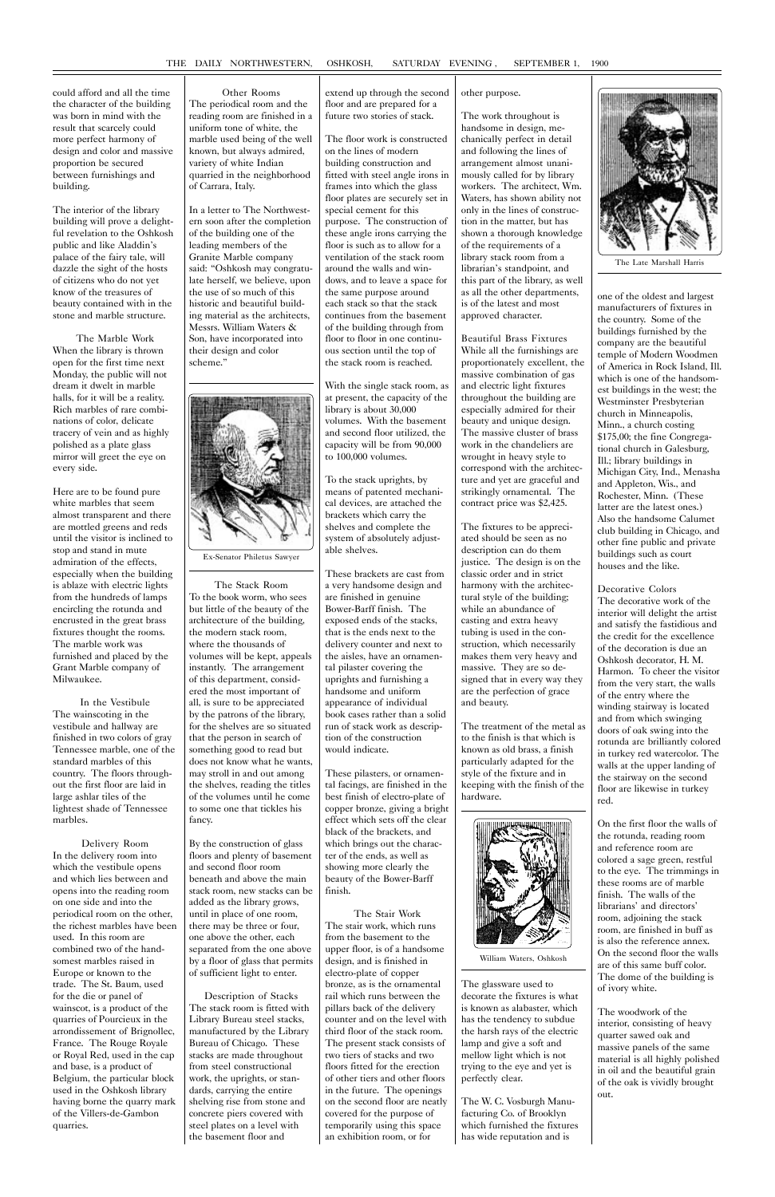could afford and all the time the character of the building was born in mind with the result that scarcely could more perfect harmony of design and color and massive proportion be secured between furnishings and building.

The interior of the library building will prove a delightful revelation to the Oshkosh public and like Aladdin's palace of the fairy tale, will dazzle the sight of the hosts of citizens who do not yet know of the treasures of beauty contained with in the stone and marble structure.

The Marble Work When the library is thrown open for the first time next Monday, the public will not dream it dwelt in marble halls, for it will be a reality. Rich marbles of rare combinations of color, delicate tracery of vein and as highly polished as a plate glass mirror will greet the eye on every side.

Here are to be found pure white marbles that seem almost transparent and there are mottled greens and reds until the visitor is inclined to stop and stand in mute admiration of the effects, especially when the building is ablaze with electric lights from the hundreds of lamps encircling the rotunda and encrusted in the great brass fixtures thought the rooms. The marble work was furnished and placed by the Grant Marble company of Milwaukee.

In the Vestibule The wainscoting in the vestibule and hallway are finished in two colors of gray Tennessee marble, one of the standard marbles of this country. The floors throughout the first floor are laid in large ashlar tiles of the lightest shade of Tennessee marbles.

Delivery Room In the delivery room into which the vestibule opens and which lies between and opens into the reading room on one side and into the periodical room on the other, the richest marbles have been used. In this room are combined two of the handsomest marbles raised in Europe or known to the trade. The St. Baum, used for the die or panel of wainscot, is a product of the quarries of Pourcieux in the arrondissement of Brignollec, France. The Rouge Royale or Royal Red, used in the cap and base, is a product of Belgium, the particular block used in the Oshkosh library having borne the quarry mark of the Villers-de-Gambon quarries.

Other Rooms

The periodical room and the reading room are finished in a uniform tone of white, the marble used being of the well known, but always admired, variety of white Indian quarried in the neighborhood of Carrara, Italy.

In a letter to The Northwestern soon after the completion of the building one of the leading members of the Granite Marble company said: Oshkosh may congratulate herself, we believe, upon the use of so much of this historic and beautiful building material as the architects, Messrs. William Waters & Son, have incorporated into their design and color scheme.



The Stack Room To the book worm, who sees but little of the beauty of the architecture of the building, the modern stack room, where the thousands of volumes will be kept, appeals instantly. The arrangement of this department, considered the most important of all, is sure to be appreciated by the patrons of the library, for the shelves are so situated that the person in search of something good to read but does not know what he wants, may stroll in and out among the shelves, reading the titles of the volumes until he come to some one that tickles his fancy.

By the construction of glass floors and plenty of basement and second floor room beneath and above the main stack room, new stacks can be added as the library grows, until in place of one room, there may be three or four, one above the other, each separated from the one above by a floor of glass that permits of sufficient light to enter. Description of Stacks The stack room is fitted with Library Bureau steel stacks, manufactured by the Library Bureau of Chicago. These stacks are made throughout from steel constructional work, the uprights, or standards, carrying the entire shelving rise from stone and concrete piers covered with steel plates on a level with the basement floor and

extend up through the second floor and are prepared for a future two stories of stack.

The floor work is constructed on the lines of modern building construction and fitted with steel angle irons in frames into which the glass floor plates are securely set in special cement for this purpose. The construction of these angle irons carrying the floor is such as to allow for a ventilation of the stack room around the walls and windows, and to leave a space for the same purpose around each stack so that the stack continues from the basement of the building through from floor to floor in one continuous section until the top of the stack room is reached.

With the single stack room, as at present, the capacity of the library is about 30,000 volumes. With the basement and second floor utilized, the capacity will be from 90,000 to 100,000 volumes.

To the stack uprights, by means of patented mechanical devices, are attached the brackets which carry the shelves and complete the system of absolutely adjustable shelves.

These brackets are cast from a very handsome design and are finished in genuine Bower-Barff finish. The exposed ends of the stacks, that is the ends next to the delivery counter and next to the aisles, have an ornamental pilaster covering the uprights and furnishing a handsome and uniform appearance of individual book cases rather than a solid run of stack work as description of the construction would indicate.

These pilasters, or ornamental facings, are finished in the best finish of electro-plate of copper bronze, giving a bright effect which sets off the clear black of the brackets, and which brings out the character of the ends, as well as showing more clearly the beauty of the Bower-Barff finish.

The Stair Work The stair work, which runs from the basement to the upper floor, is of a handsome design, and is finished in electro-plate of copper bronze, as is the ornamental rail which runs between the pillars back of the delivery counter and on the level with third floor of the stack room. The present stack consists of two tiers of stacks and two floors fitted for the erection of other tiers and other floors in the future. The openings on the second floor are neatly covered for the purpose of temporarily using this space an exhibition room, or for

#### other purpose.

The work throughout is handsome in design, mechanically perfect in detail and following the lines of arrangement almost unanimously called for by library workers. The architect, Wm. Waters, has shown ability not only in the lines of construction in the matter, but has shown a thorough knowledge of the requirements of a library stack room from a librarian's standpoint, and this part of the library, as well as all the other departments, is of the latest and most approved character.

Beautiful Brass Fixtures While all the furnishings are proportionately excellent, the massive combination of gas and electric light fixtures throughout the building are especially admired for their beauty and unique design. The massive cluster of brass work in the chandeliers are wrought in heavy style to correspond with the architecture and yet are graceful and strikingly ornamental. The contract price was \$2,425.

The fixtures to be appreciated should be seen as no description can do them justice. The design is on the classic order and in strict harmony with the architectural style of the building; while an abundance of casting and extra heavy tubing is used in the construction, which necessarily makes them very heavy and massive. They are so designed that in every way they are the perfection of grace and beauty.

The treatment of the metal as to the finish is that which is known as old brass, a finish particularly adapted for the style of the fixture and in keeping with the finish of the hardware.



The glassware used to decorate the fixtures is what is known as alabaster, which has the tendency to subdue the harsh rays of the electric lamp and give a soft and mellow light which is not trying to the eye and yet is perfectly clear.

The W. C. Vosburgh Manufacturing Co. of Brooklyn which furnished the fixtures has wide reputation and is

one of the oldest and largest manufacturers of fixtures in the country. Some of the buildings furnished by the company are the beautiful temple of Modern Woodmen of America in Rock Island, Ill. which is one of the handsomest buildings in the west; the Westminster Presbyterian church in Minneapolis, Minn., a church costing \$175,00; the fine Congregational church in Galesburg, Ill.; library buildings in Michigan City, Ind., Menasha and Appleton, Wis., and Rochester, Minn. (These latter are the latest ones.) Also the handsome Calumet club building in Chicago, and other fine public and private buildings such as court houses and the like.

Decorative Colors The decorative work of the interior will delight the artist and satisfy the fastidious and the credit for the excellence of the decoration is due an Oshkosh decorator, H. M. Harmon. To cheer the visitor from the very start, the walls of the entry where the winding stairway is located and from which swinging doors of oak swing into the rotunda are brilliantly colored in turkey red watercolor. The walls at the upper landing of the stairway on the second floor are likewise in turkey red.

On the first floor the walls of the rotunda, reading room and reference room are colored a sage green, restful to the eye. The trimmings in

these rooms are of marble finish. The walls of the librarians' and directors' room, adjoining the stack room, are finished in buff as is also the reference annex. On the second floor the walls are of this same buff color. The dome of the building is of ivory white.

The woodwork of the interior, consisting of heavy quarter sawed oak and massive panels of the same material is all highly polished in oil and the beautiful grain of the oak is vividly brought out.

Ex-Senator Philetus Sawyer



The Late Marshall Harris

William Waters, Oshkosh